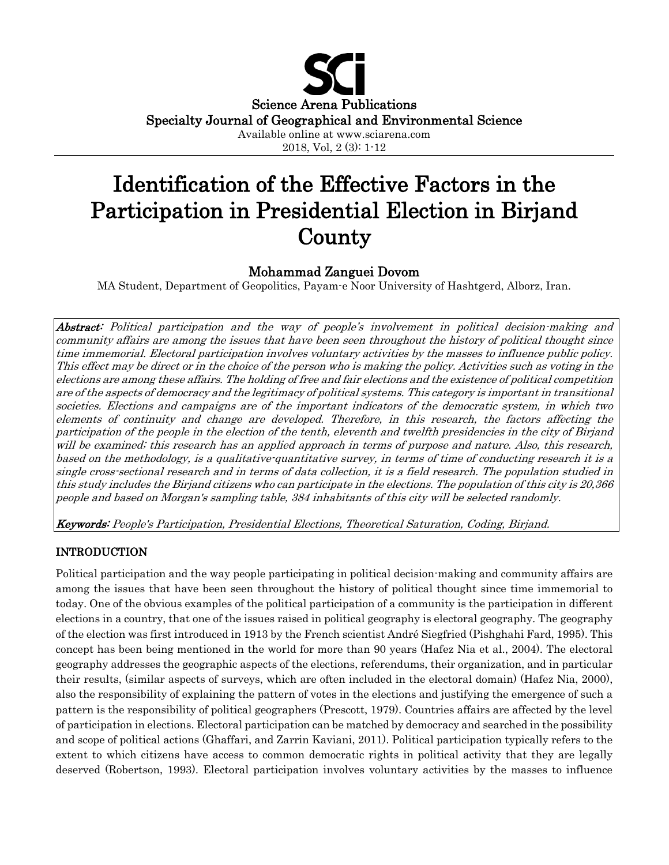

2018, Vol, 2 (3): 1-12

# Identification of the Effective Factors in the Participation in Presidential Election in Birjand **County**

# Mohammad Zanguei Dovom

MA Student, Department of Geopolitics, Payam-e Noor University of Hashtgerd, Alborz, Iran.

Abstract: Political participation and the way of people's involvement in political decision-making and community affairs are among the issues that have been seen throughout the history of political thought since time immemorial. Electoral participation involves voluntary activities by the masses to influence public policy. This effect may be direct or in the choice of the person who is making the policy. Activities such as voting in the elections are among these affairs. The holding of free and fair elections and the existence of political competition are of the aspects of democracy and the legitimacy of political systems. This category is important in transitional societies. Elections and campaigns are of the important indicators of the democratic system, in which two elements of continuity and change are developed. Therefore, in this research, the factors affecting the participation of the people in the election of the tenth, eleventh and twelfth presidencies in the city of Birjand will be examined; this research has an applied approach in terms of purpose and nature. Also, this research, based on the methodology, is a qualitative-quantitative survey, in terms of time of conducting research it is a single cross-sectional research and in terms of data collection, it is a field research. The population studied in this study includes the Birjand citizens who can participate in the elections. The population of this city is 20,366 people and based on Morgan's sampling table, 384 inhabitants of this city will be selected randomly.

Keywords: People's Participation, Presidential Elections, Theoretical Saturation, Coding, Birjand.

# INTRODUCTION

Political participation and the way people participating in political decision-making and community affairs are among the issues that have been seen throughout the history of political thought since time immemorial to today. One of the obvious examples of the political participation of a community is the participation in different elections in a country, that one of the issues raised in political geography is electoral geography. The geography of the election was first introduced in 1913 by the French scientist André Siegfried (Pishghahi Fard, 1995). This concept has been being mentioned in the world for more than 90 years (Hafez Nia et al., 2004). The electoral geography addresses the geographic aspects of the elections, referendums, their organization, and in particular their results, (similar aspects of surveys, which are often included in the electoral domain) (Hafez Nia, 2000), also the responsibility of explaining the pattern of votes in the elections and justifying the emergence of such a pattern is the responsibility of political geographers (Prescott, 1979). Countries affairs are affected by the level of participation in elections. Electoral participation can be matched by democracy and searched in the possibility and scope of political actions (Ghaffari, and Zarrin Kaviani, 2011). Political participation typically refers to the extent to which citizens have access to common democratic rights in political activity that they are legally deserved (Robertson, 1993). Electoral participation involves voluntary activities by the masses to influence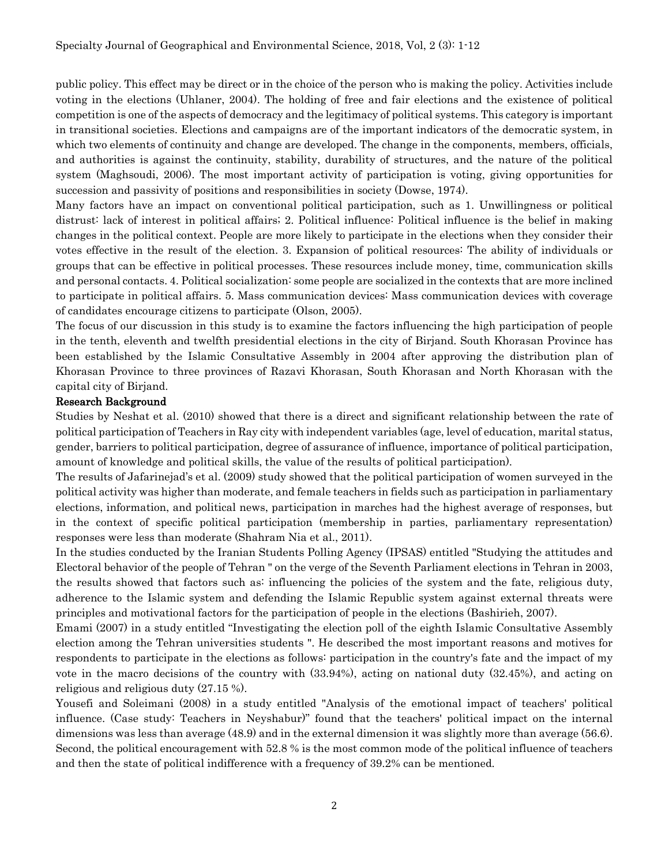public policy. This effect may be direct or in the choice of the person who is making the policy. Activities include voting in the elections (Uhlaner, 2004). The holding of free and fair elections and the existence of political competition is one of the aspects of democracy and the legitimacy of political systems. This category is important in transitional societies. Elections and campaigns are of the important indicators of the democratic system, in which two elements of continuity and change are developed. The change in the components, members, officials, and authorities is against the continuity, stability, durability of structures, and the nature of the political system (Maghsoudi, 2006). The most important activity of participation is voting, giving opportunities for succession and passivity of positions and responsibilities in society (Dowse, 1974).

Many factors have an impact on conventional political participation, such as 1. Unwillingness or political distrust: lack of interest in political affairs; 2. Political influence: Political influence is the belief in making changes in the political context. People are more likely to participate in the elections when they consider their votes effective in the result of the election. 3. Expansion of political resources: The ability of individuals or groups that can be effective in political processes. These resources include money, time, communication skills and personal contacts. 4. Political socialization: some people are socialized in the contexts that are more inclined to participate in political affairs. 5. Mass communication devices: Mass communication devices with coverage of candidates encourage citizens to participate (Olson, 2005).

The focus of our discussion in this study is to examine the factors influencing the high participation of people in the tenth, eleventh and twelfth presidential elections in the city of Birjand. South Khorasan Province has been established by the Islamic Consultative Assembly in 2004 after approving the distribution plan of Khorasan Province to three provinces of Razavi Khorasan, South Khorasan and North Khorasan with the capital city of Birjand.

#### Research Background

Studies by Neshat et al. (2010) showed that there is a direct and significant relationship between the rate of political participation of Teachers in Ray city with independent variables (age, level of education, marital status, gender, barriers to political participation, degree of assurance of influence, importance of political participation, amount of knowledge and political skills, the value of the results of political participation).

The results of Jafarinejad's et al. (2009) study showed that the political participation of women surveyed in the political activity was higher than moderate, and female teachers in fields such as participation in parliamentary elections, information, and political news, participation in marches had the highest average of responses, but in the context of specific political participation (membership in parties, parliamentary representation) responses were less than moderate (Shahram Nia et al., 2011).

In the studies conducted by the Iranian Students Polling Agency (IPSAS) entitled "Studying the attitudes and Electoral behavior of the people of Tehran " on the verge of the Seventh Parliament elections in Tehran in 2003, the results showed that factors such as: influencing the policies of the system and the fate, religious duty, adherence to the Islamic system and defending the Islamic Republic system against external threats were principles and motivational factors for the participation of people in the elections (Bashirieh, 2007).

Emami (2007) in a study entitled "Investigating the election poll of the eighth Islamic Consultative Assembly election among the Tehran universities students ". He described the most important reasons and motives for respondents to participate in the elections as follows: participation in the country's fate and the impact of my vote in the macro decisions of the country with (33.94%), acting on national duty (32.45%), and acting on religious and religious duty (27.15 %).

Yousefi and Soleimani (2008) in a study entitled "Analysis of the emotional impact of teachers' political influence. (Case study: Teachers in Neyshabur)" found that the teachers' political impact on the internal dimensions was less than average (48.9) and in the external dimension it was slightly more than average (56.6). Second, the political encouragement with 52.8 % is the most common mode of the political influence of teachers and then the state of political indifference with a frequency of 39.2% can be mentioned.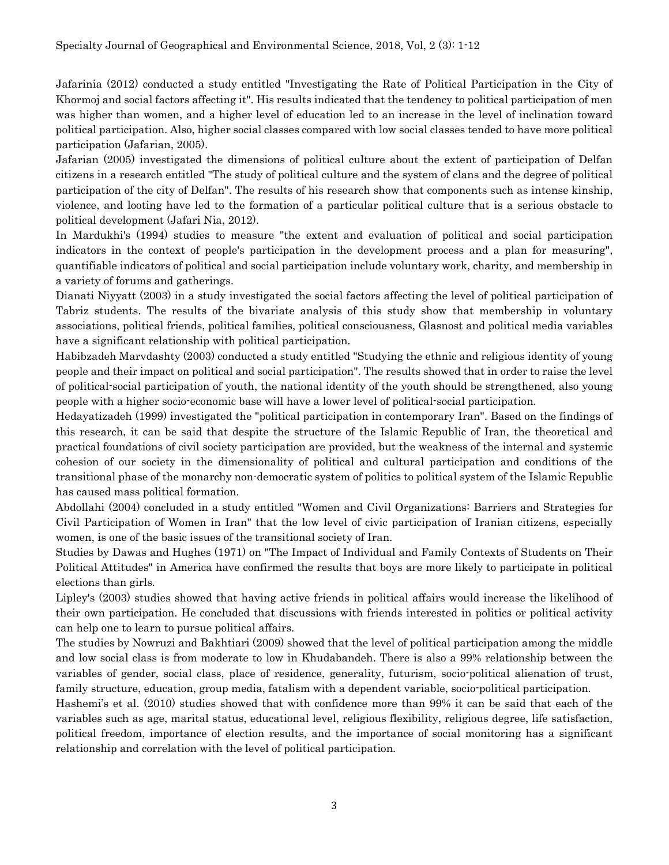Jafarinia (2012) conducted a study entitled "Investigating the Rate of Political Participation in the City of Khormoj and social factors affecting it". His results indicated that the tendency to political participation of men was higher than women, and a higher level of education led to an increase in the level of inclination toward political participation. Also, higher social classes compared with low social classes tended to have more political participation (Jafarian, 2005).

Jafarian (2005) investigated the dimensions of political culture about the extent of participation of Delfan citizens in a research entitled "The study of political culture and the system of clans and the degree of political participation of the city of Delfan". The results of his research show that components such as intense kinship, violence, and looting have led to the formation of a particular political culture that is a serious obstacle to political development (Jafari Nia, 2012).

In Mardukhi's (1994) studies to measure "the extent and evaluation of political and social participation indicators in the context of people's participation in the development process and a plan for measuring", quantifiable indicators of political and social participation include voluntary work, charity, and membership in a variety of forums and gatherings.

Dianati Niyyatt (2003) in a study investigated the social factors affecting the level of political participation of Tabriz students. The results of the bivariate analysis of this study show that membership in voluntary associations, political friends, political families, political consciousness, Glasnost and political media variables have a significant relationship with political participation.

Habibzadeh Marvdashty (2003) conducted a study entitled "Studying the ethnic and religious identity of young people and their impact on political and social participation". The results showed that in order to raise the level of political-social participation of youth, the national identity of the youth should be strengthened, also young people with a higher socio-economic base will have a lower level of political-social participation.

Hedayatizadeh (1999) investigated the "political participation in contemporary Iran". Based on the findings of this research, it can be said that despite the structure of the Islamic Republic of Iran, the theoretical and practical foundations of civil society participation are provided, but the weakness of the internal and systemic cohesion of our society in the dimensionality of political and cultural participation and conditions of the transitional phase of the monarchy non-democratic system of politics to political system of the Islamic Republic has caused mass political formation.

Abdollahi (2004) concluded in a study entitled "Women and Civil Organizations: Barriers and Strategies for Civil Participation of Women in Iran" that the low level of civic participation of Iranian citizens, especially women, is one of the basic issues of the transitional society of Iran.

Studies by Dawas and Hughes (1971) on "The Impact of Individual and Family Contexts of Students on Their Political Attitudes" in America have confirmed the results that boys are more likely to participate in political elections than girls.

Lipley's (2003) studies showed that having active friends in political affairs would increase the likelihood of their own participation. He concluded that discussions with friends interested in politics or political activity can help one to learn to pursue political affairs.

The studies by Nowruzi and Bakhtiari (2009) showed that the level of political participation among the middle and low social class is from moderate to low in Khudabandeh. There is also a 99% relationship between the variables of gender, social class, place of residence, generality, futurism, socio-political alienation of trust, family structure, education, group media, fatalism with a dependent variable, socio-political participation.

Hashemi's et al. (2010) studies showed that with confidence more than 99% it can be said that each of the variables such as age, marital status, educational level, religious flexibility, religious degree, life satisfaction, political freedom, importance of election results, and the importance of social monitoring has a significant relationship and correlation with the level of political participation.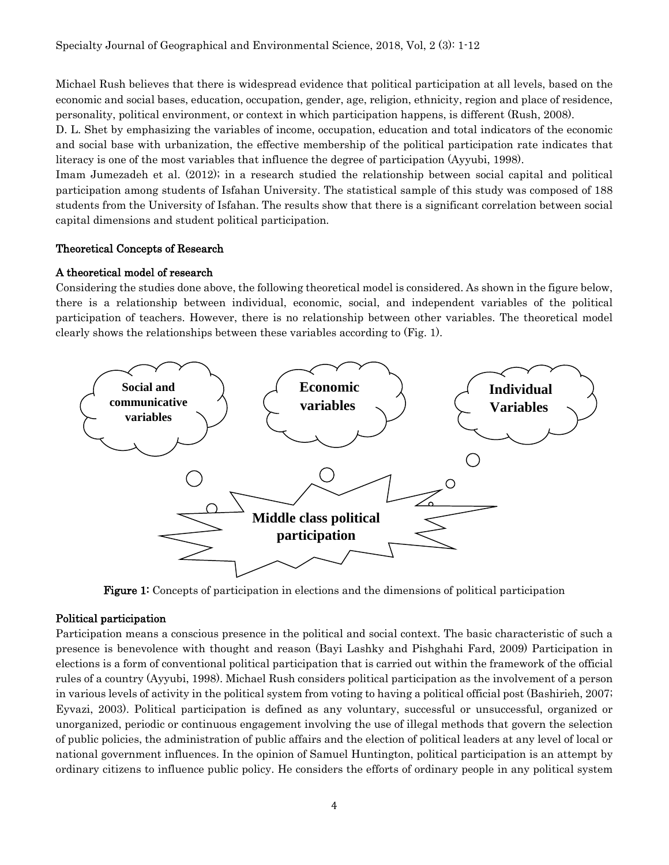Michael Rush believes that there is widespread evidence that political participation at all levels, based on the economic and social bases, education, occupation, gender, age, religion, ethnicity, region and place of residence, personality, political environment, or context in which participation happens, is different (Rush, 2008).

D. L. Shet by emphasizing the variables of income, occupation, education and total indicators of the economic and social base with urbanization, the effective membership of the political participation rate indicates that literacy is one of the most variables that influence the degree of participation (Ayyubi, 1998).

Imam Jumezadeh et al. (2012); in a research studied the relationship between social capital and political participation among students of Isfahan University. The statistical sample of this study was composed of 188 students from the University of Isfahan. The results show that there is a significant correlation between social capital dimensions and student political participation.

## Theoretical Concepts of Research

## A theoretical model of research

Considering the studies done above, the following theoretical model is considered. As shown in the figure below, there is a relationship between individual, economic, social, and independent variables of the political participation of teachers. However, there is no relationship between other variables. The theoretical model clearly shows the relationships between these variables according to (Fig. 1).



Figure 1: Concepts of participation in elections and the dimensions of political participation

# Political participation

Participation means a conscious presence in the political and social context. The basic characteristic of such a presence is benevolence with thought and reason (Bayi Lashky and Pishghahi Fard, 2009) Participation in elections is a form of conventional political participation that is carried out within the framework of the official rules of a country (Ayyubi, 1998). Michael Rush considers political participation as the involvement of a person in various levels of activity in the political system from voting to having a political official post (Bashirieh, 2007; Eyvazi, 2003). Political participation is defined as any voluntary, successful or unsuccessful, organized or unorganized, periodic or continuous engagement involving the use of illegal methods that govern the selection of public policies, the administration of public affairs and the election of political leaders at any level of local or national government influences. In the opinion of Samuel Huntington, political participation is an attempt by ordinary citizens to influence public policy. He considers the efforts of ordinary people in any political system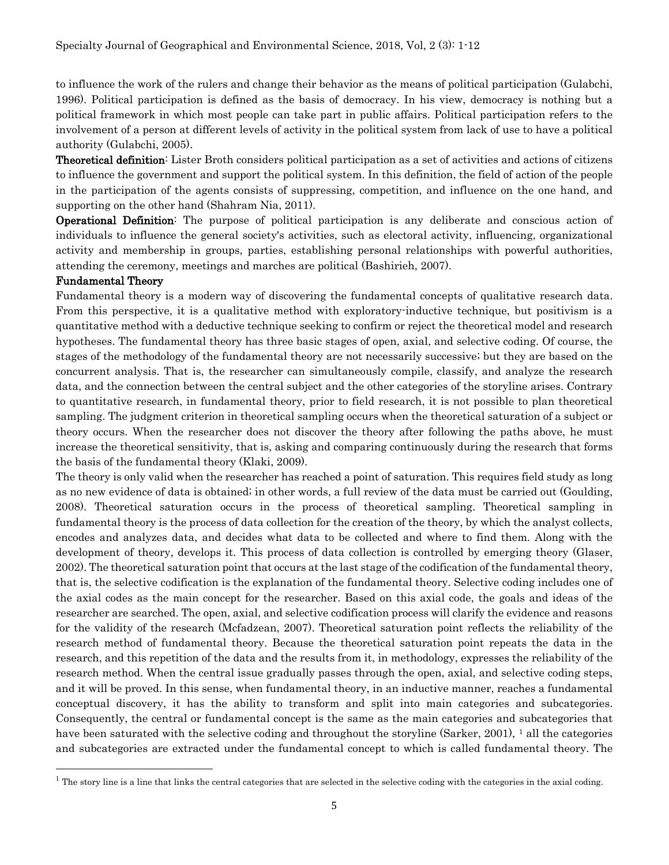to influence the work of the rulers and change their behavior as the means of political participation (Gulabchi, 1996). Political participation is defined as the basis of democracy. In his view, democracy is nothing but a political framework in which most people can take part in public affairs. Political participation refers to the involvement of a person at different levels of activity in the political system from lack of use to have a political authority (Gulabchi, 2005).

Theoretical definition: Lister Broth considers political participation as a set of activities and actions of citizens to influence the government and support the political system. In this definition, the field of action of the people in the participation of the agents consists of suppressing, competition, and influence on the one hand, and supporting on the other hand (Shahram Nia, 2011).

Operational Definition: The purpose of political participation is any deliberate and conscious action of individuals to influence the general society's activities, such as electoral activity, influencing, organizational activity and membership in groups, parties, establishing personal relationships with powerful authorities, attending the ceremony, meetings and marches are political (Bashirieh, 2007).

#### Fundamental Theory

l

Fundamental theory is a modern way of discovering the fundamental concepts of qualitative research data. From this perspective, it is a qualitative method with exploratory-inductive technique, but positivism is a quantitative method with a deductive technique seeking to confirm or reject the theoretical model and research hypotheses. The fundamental theory has three basic stages of open, axial, and selective coding. Of course, the stages of the methodology of the fundamental theory are not necessarily successive; but they are based on the concurrent analysis. That is, the researcher can simultaneously compile, classify, and analyze the research data, and the connection between the central subject and the other categories of the storyline arises. Contrary to quantitative research, in fundamental theory, prior to field research, it is not possible to plan theoretical sampling. The judgment criterion in theoretical sampling occurs when the theoretical saturation of a subject or theory occurs. When the researcher does not discover the theory after following the paths above, he must increase the theoretical sensitivity, that is, asking and comparing continuously during the research that forms the basis of the fundamental theory (Klaki, 2009).

The theory is only valid when the researcher has reached a point of saturation. This requires field study as long as no new evidence of data is obtained; in other words, a full review of the data must be carried out (Goulding, 2008). Theoretical saturation occurs in the process of theoretical sampling. Theoretical sampling in fundamental theory is the process of data collection for the creation of the theory, by which the analyst collects, encodes and analyzes data, and decides what data to be collected and where to find them. Along with the development of theory, develops it. This process of data collection is controlled by emerging theory (Glaser, 2002). The theoretical saturation point that occurs at the last stage of the codification of the fundamental theory, that is, the selective codification is the explanation of the fundamental theory. Selective coding includes one of the axial codes as the main concept for the researcher. Based on this axial code, the goals and ideas of the researcher are searched. The open, axial, and selective codification process will clarify the evidence and reasons for the validity of the research (Mcfadzean, 2007). Theoretical saturation point reflects the reliability of the research method of fundamental theory. Because the theoretical saturation point repeats the data in the research, and this repetition of the data and the results from it, in methodology, expresses the reliability of the research method. When the central issue gradually passes through the open, axial, and selective coding steps, and it will be proved. In this sense, when fundamental theory, in an inductive manner, reaches a fundamental conceptual discovery, it has the ability to transform and split into main categories and subcategories. Consequently, the central or fundamental concept is the same as the main categories and subcategories that have been saturated with the selective coding and throughout the storyline (Sarker, 200[1](#page-4-0)), <sup>1</sup> all the categories and subcategories are extracted under the fundamental concept to which is called fundamental theory. The

<span id="page-4-0"></span><sup>&</sup>lt;sup>1</sup> The story line is a line that links the central categories that are selected in the selective coding with the categories in the axial coding.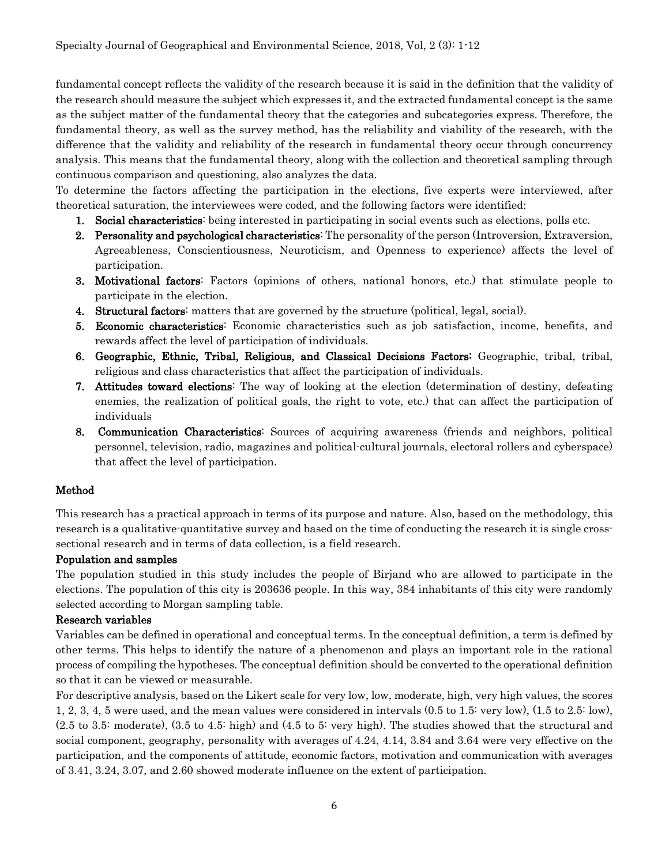fundamental concept reflects the validity of the research because it is said in the definition that the validity of the research should measure the subject which expresses it, and the extracted fundamental concept is the same as the subject matter of the fundamental theory that the categories and subcategories express. Therefore, the fundamental theory, as well as the survey method, has the reliability and viability of the research, with the difference that the validity and reliability of the research in fundamental theory occur through concurrency analysis. This means that the fundamental theory, along with the collection and theoretical sampling through continuous comparison and questioning, also analyzes the data.

To determine the factors affecting the participation in the elections, five experts were interviewed, after theoretical saturation, the interviewees were coded, and the following factors were identified:

- 1. Social characteristics: being interested in participating in social events such as elections, polls etc.
- 2. Personality and psychological characteristics: The personality of the person (Introversion, Extraversion, Agreeableness, Conscientiousness, Neuroticism, and Openness to experience) affects the level of participation.
- 3. Motivational factors: Factors (opinions of others, national honors, etc.) that stimulate people to participate in the election.
- 4. Structural factors: matters that are governed by the structure (political, legal, social).
- 5. Economic characteristics: Economic characteristics such as job satisfaction, income, benefits, and rewards affect the level of participation of individuals.
- 6. Geographic, Ethnic, Tribal, Religious, and Classical Decisions Factors: Geographic, tribal, tribal, religious and class characteristics that affect the participation of individuals.
- 7. Attitudes toward elections: The way of looking at the election (determination of destiny, defeating enemies, the realization of political goals, the right to vote, etc.) that can affect the participation of individuals
- 8. Communication Characteristics: Sources of acquiring awareness (friends and neighbors, political personnel, television, radio, magazines and political-cultural journals, electoral rollers and cyberspace) that affect the level of participation.

# Method

This research has a practical approach in terms of its purpose and nature. Also, based on the methodology, this research is a qualitative-quantitative survey and based on the time of conducting the research it is single crosssectional research and in terms of data collection, is a field research.

#### Population and samples

The population studied in this study includes the people of Birjand who are allowed to participate in the elections. The population of this city is 203636 people. In this way, 384 inhabitants of this city were randomly selected according to Morgan sampling table.

#### Research variables

Variables can be defined in operational and conceptual terms. In the conceptual definition, a term is defined by other terms. This helps to identify the nature of a phenomenon and plays an important role in the rational process of compiling the hypotheses. The conceptual definition should be converted to the operational definition so that it can be viewed or measurable.

For descriptive analysis, based on the Likert scale for very low, low, moderate, high, very high values, the scores 1, 2, 3, 4, 5 were used, and the mean values were considered in intervals (0.5 to 1.5: very low), (1.5 to 2.5: low), (2.5 to 3.5: moderate), (3.5 to 4.5: high) and (4.5 to 5: very high). The studies showed that the structural and social component, geography, personality with averages of 4.24, 4.14, 3.84 and 3.64 were very effective on the participation, and the components of attitude, economic factors, motivation and communication with averages of 3.41, 3.24, 3.07, and 2.60 showed moderate influence on the extent of participation.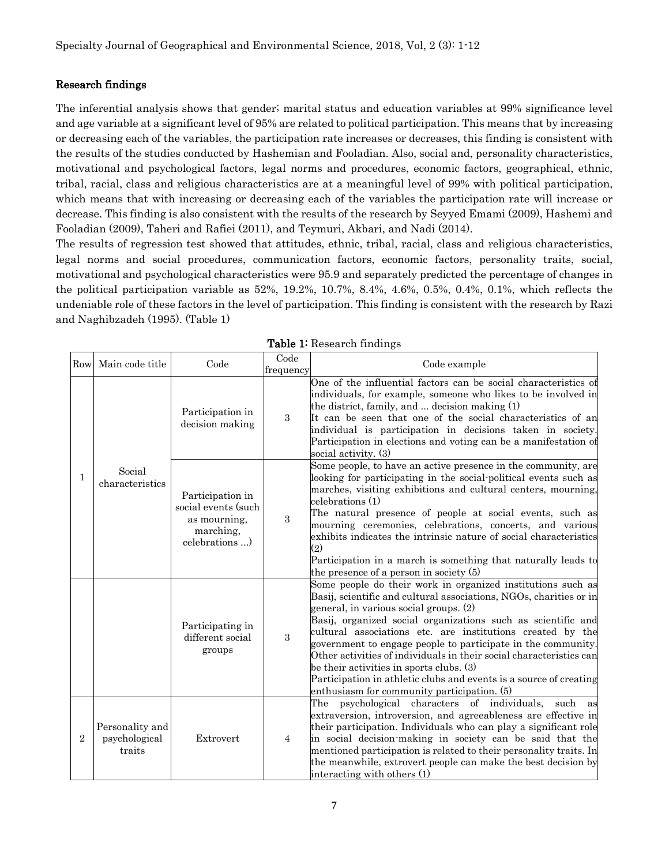### Research findings

The inferential analysis shows that gender; marital status and education variables at 99% significance level and age variable at a significant level of 95% are related to political participation. This means that by increasing or decreasing each of the variables, the participation rate increases or decreases, this finding is consistent with the results of the studies conducted by Hashemian and Fooladian. Also, social and, personality characteristics, motivational and psychological factors, legal norms and procedures, economic factors, geographical, ethnic, tribal, racial, class and religious characteristics are at a meaningful level of 99% with political participation, which means that with increasing or decreasing each of the variables the participation rate will increase or decrease. This finding is also consistent with the results of the research by Seyyed Emami (2009), Hashemi and Fooladian (2009), Taheri and Rafiei (2011), and Teymuri, Akbari, and Nadi (2014).

The results of regression test showed that attitudes, ethnic, tribal, racial, class and religious characteristics, legal norms and social procedures, communication factors, economic factors, personality traits, social, motivational and psychological characteristics were 95.9 and separately predicted the percentage of changes in the political participation variable as 52%, 19.2%, 10.7%, 8.4%, 4.6%, 0.5%, 0.4%, 0.1%, which reflects the undeniable role of these factors in the level of participation. This finding is consistent with the research by Razi and Naghibzadeh (1995). (Table 1)

|                | Rowl Main code title                       | Code                                                                                 | Code<br>frequency | Code example                                                                                                                                                                                                                                                                                                                                                                                                                                                                                                                                                                                                      |
|----------------|--------------------------------------------|--------------------------------------------------------------------------------------|-------------------|-------------------------------------------------------------------------------------------------------------------------------------------------------------------------------------------------------------------------------------------------------------------------------------------------------------------------------------------------------------------------------------------------------------------------------------------------------------------------------------------------------------------------------------------------------------------------------------------------------------------|
| $\mathbf{1}$   | Social<br>characteristics                  | Participation in<br>decision making                                                  | 3                 | One of the influential factors can be social characteristics of<br>individuals, for example, someone who likes to be involved in<br>the district, family, and $\dots$ decision making $(1)$<br>It can be seen that one of the social characteristics of an<br>individual is participation in decisions taken in society.<br>Participation in elections and voting can be a manifestation of<br>social activity. (3)                                                                                                                                                                                               |
|                |                                            | Participation in<br>social events (such<br>as mourning,<br>marching,<br>celebrations | 3                 | Some people, to have an active presence in the community, are<br>looking for participating in the social-political events such as<br>marches, visiting exhibitions and cultural centers, mourning,<br>$\text{celebrations}\left(1\right)$<br>The natural presence of people at social events, such as<br>mourning ceremonies, celebrations, concerts, and various<br>exhibits indicates the intrinsic nature of social characteristics<br>$\rm(2)$<br>Participation in a march is something that naturally leads to<br>the presence of a person in society (5)                                                    |
|                |                                            | Participating in<br>different social<br>groups                                       | 3                 | Some people do their work in organized institutions such as<br>Basij, scientific and cultural associations, NGOs, charities or in<br>general, in various social groups. (2)<br>Basij, organized social organizations such as scientific and<br>cultural associations etc. are institutions created by the<br>government to engage people to participate in the community.<br>Other activities of individuals in their social characteristics can<br>be their activities in sports clubs. (3)<br>Participation in athletic clubs and events is a source of creating<br>enthusiasm for community participation. (5) |
| $\overline{2}$ | Personality and<br>psychological<br>traits | Extrovert                                                                            | $\overline{4}$    | characters of individuals,<br>The<br>psychological<br>such<br>as<br>extraversion, introversion, and agreeableness are effective in<br>their participation. Individuals who can play a significant role<br>in social decision-making in society can be said that the<br>mentioned participation is related to their personality traits. In<br>the meanwhile, extrovert people can make the best decision by<br>interacting with others (1)                                                                                                                                                                         |

Table 1: Research findings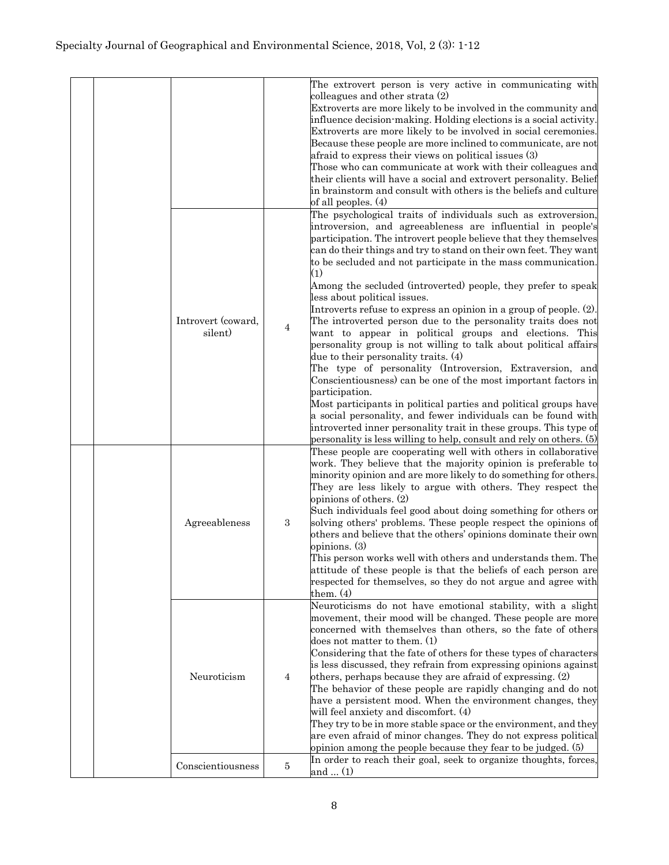|  |  |                    |            | The extrovert person is very active in communicating with                                     |
|--|--|--------------------|------------|-----------------------------------------------------------------------------------------------|
|  |  |                    |            | colleagues and other strata (2)                                                               |
|  |  |                    |            | Extroverts are more likely to be involved in the community and                                |
|  |  |                    |            | influence decision-making. Holding elections is a social activity.                            |
|  |  |                    |            | Extroverts are more likely to be involved in social ceremonies.                               |
|  |  |                    |            | Because these people are more inclined to communicate, are not                                |
|  |  |                    |            | afraid to express their views on political issues (3)                                         |
|  |  |                    |            | Those who can communicate at work with their colleagues and                                   |
|  |  |                    |            | their clients will have a social and extrovert personality. Belief                            |
|  |  |                    |            | in brainstorm and consult with others is the beliefs and culture                              |
|  |  |                    |            | of all peoples. (4)                                                                           |
|  |  |                    |            |                                                                                               |
|  |  |                    |            | The psychological traits of individuals such as extroversion,                                 |
|  |  |                    | 4          | introversion, and agreeableness are influential in people's                                   |
|  |  |                    |            | participation. The introvert people believe that they themselves                              |
|  |  |                    |            | can do their things and try to stand on their own feet. They want                             |
|  |  |                    |            | to be secluded and not participate in the mass communication.                                 |
|  |  |                    |            | $\left( 1\right)$                                                                             |
|  |  |                    |            | Among the secluded (introverted) people, they prefer to speak<br>less about political issues. |
|  |  |                    |            | Introverts refuse to express an opinion in a group of people. $(2)$ .                         |
|  |  | Introvert (coward, |            | The introverted person due to the personality traits does not                                 |
|  |  | silent)            |            | want to appear in political groups and elections. This                                        |
|  |  |                    |            | personality group is not willing to talk about political affairs                              |
|  |  |                    |            | due to their personality traits. (4)                                                          |
|  |  |                    |            | The type of personality (Introversion, Extraversion, and                                      |
|  |  |                    |            | Conscientiousness) can be one of the most important factors in                                |
|  |  |                    |            | participation.                                                                                |
|  |  |                    |            | Most participants in political parties and political groups have                              |
|  |  |                    |            | a social personality, and fewer individuals can be found with                                 |
|  |  |                    |            | introverted inner personality trait in these groups. This type of                             |
|  |  |                    |            | personality is less willing to help, consult and rely on others. (5)                          |
|  |  |                    |            | These people are cooperating well with others in collaborative                                |
|  |  |                    |            | work. They believe that the majority opinion is preferable to                                 |
|  |  |                    |            | minority opinion and are more likely to do something for others.                              |
|  |  | Agreeableness      | $\sqrt{3}$ | They are less likely to argue with others. They respect the                                   |
|  |  |                    |            | opinions of others. (2)                                                                       |
|  |  |                    |            | Such individuals feel good about doing something for others or                                |
|  |  |                    |            | solving others' problems. These people respect the opinions of                                |
|  |  |                    |            | others and believe that the others' opinions dominate their own                               |
|  |  |                    |            | opinions. (3)                                                                                 |
|  |  |                    |            | This person works well with others and understands them. The                                  |
|  |  |                    |            | attitude of these people is that the beliefs of each person are                               |
|  |  |                    |            | respected for themselves, so they do not argue and agree with                                 |
|  |  |                    |            | them. $(4)$                                                                                   |
|  |  | Neuroticism        |            | Neuroticisms do not have emotional stability, with a slight                                   |
|  |  |                    |            | movement, their mood will be changed. These people are more                                   |
|  |  |                    | 4          | concerned with themselves than others, so the fate of others                                  |
|  |  |                    |            | does not matter to them. $(1)$                                                                |
|  |  |                    |            | Considering that the fate of others for these types of characters                             |
|  |  |                    |            | is less discussed, they refrain from expressing opinions against                              |
|  |  |                    |            | others, perhaps because they are afraid of expressing. (2)                                    |
|  |  |                    |            | The behavior of these people are rapidly changing and do not                                  |
|  |  |                    |            | have a persistent mood. When the environment changes, they                                    |
|  |  |                    |            | will feel anxiety and discomfort. (4)                                                         |
|  |  |                    |            | They try to be in more stable space or the environment, and they                              |
|  |  |                    |            | are even afraid of minor changes. They do not express political                               |
|  |  |                    |            | opinion among the people because they fear to be judged. (5)                                  |
|  |  | Conscientiousness  | 5          | In order to reach their goal, seek to organize thoughts, forces,                              |
|  |  |                    |            | and  (1)                                                                                      |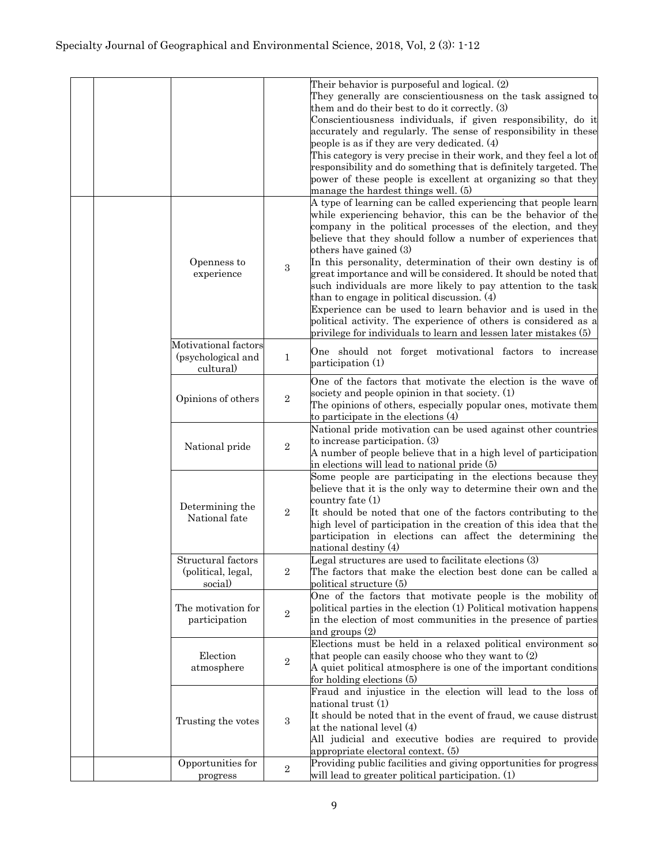|                                                         |                  | Their behavior is purposeful and logical. (2)<br>They generally are conscientiousness on the task assigned to<br>them and do their best to do it correctly. (3)<br>Conscientiousness individuals, if given responsibility, do it<br>accurately and regularly. The sense of responsibility in these<br>people is as if they are very dedicated. (4)<br>This category is very precise in their work, and they feel a lot of<br>responsibility and do something that is definitely targeted. The<br>power of these people is excellent at organizing so that they<br>manage the hardest things well. (5)                                                                                                                                                |
|---------------------------------------------------------|------------------|------------------------------------------------------------------------------------------------------------------------------------------------------------------------------------------------------------------------------------------------------------------------------------------------------------------------------------------------------------------------------------------------------------------------------------------------------------------------------------------------------------------------------------------------------------------------------------------------------------------------------------------------------------------------------------------------------------------------------------------------------|
| Openness to<br>experience                               | $\boldsymbol{3}$ | A type of learning can be called experiencing that people learn<br>while experiencing behavior, this can be the behavior of the<br>company in the political processes of the election, and they<br>believe that they should follow a number of experiences that<br>others have gained (3)<br>In this personality, determination of their own destiny is of<br>great importance and will be considered. It should be noted that<br>such individuals are more likely to pay attention to the task<br>than to engage in political discussion. (4)<br>Experience can be used to learn behavior and is used in the<br>political activity. The experience of others is considered as a<br>privilege for individuals to learn and lessen later mistakes (5) |
| Motivational factors<br>(psychological and<br>cultural) | $\mathbf 1$      | One should not forget motivational factors to increase<br>participation (1)                                                                                                                                                                                                                                                                                                                                                                                                                                                                                                                                                                                                                                                                          |
| Opinions of others                                      | $\overline{2}$   | One of the factors that motivate the election is the wave of<br>society and people opinion in that society. (1)<br>The opinions of others, especially popular ones, motivate them<br>to participate in the elections (4)                                                                                                                                                                                                                                                                                                                                                                                                                                                                                                                             |
| National pride                                          | $\overline{2}$   | National pride motivation can be used against other countries<br>to increase participation. (3)<br>A number of people believe that in a high level of participation<br>in elections will lead to national pride (5)                                                                                                                                                                                                                                                                                                                                                                                                                                                                                                                                  |
| Determining the<br>National fate                        | $\overline{2}$   | Some people are participating in the elections because they<br>believe that it is the only way to determine their own and the<br>country fate (1)<br>It should be noted that one of the factors contributing to the<br>high level of participation in the creation of this idea that the<br>participation in elections can affect the determining the<br>national destiny (4)                                                                                                                                                                                                                                                                                                                                                                        |
| Structural factors<br>(political, legal,<br>social)     | $\overline{2}$   | Legal structures are used to facilitate elections (3)<br>The factors that make the election best done can be called a<br>political structure (5)                                                                                                                                                                                                                                                                                                                                                                                                                                                                                                                                                                                                     |
| The motivation for<br>participation                     | $\overline{2}$   | One of the factors that motivate people is the mobility of<br>political parties in the election (1) Political motivation happens<br>in the election of most communities in the presence of parties<br>and groups $(2)$                                                                                                                                                                                                                                                                                                                                                                                                                                                                                                                               |
| Election<br>atmosphere                                  | $\boldsymbol{2}$ | Elections must be held in a relaxed political environment so<br>that people can easily choose who they want to (2)<br>A quiet political atmosphere is one of the important conditions<br>for holding elections (5)                                                                                                                                                                                                                                                                                                                                                                                                                                                                                                                                   |
| Trusting the votes                                      | 3                | Fraud and injustice in the election will lead to the loss of<br>national trust (1)<br>It should be noted that in the event of fraud, we cause distrust<br>at the national level (4)<br>All judicial and executive bodies are required to provide<br>appropriate electoral context. (5)                                                                                                                                                                                                                                                                                                                                                                                                                                                               |
| Opportunities for                                       | $\,2$            | Providing public facilities and giving opportunities for progress                                                                                                                                                                                                                                                                                                                                                                                                                                                                                                                                                                                                                                                                                    |
| progress                                                |                  | will lead to greater political participation. (1)                                                                                                                                                                                                                                                                                                                                                                                                                                                                                                                                                                                                                                                                                                    |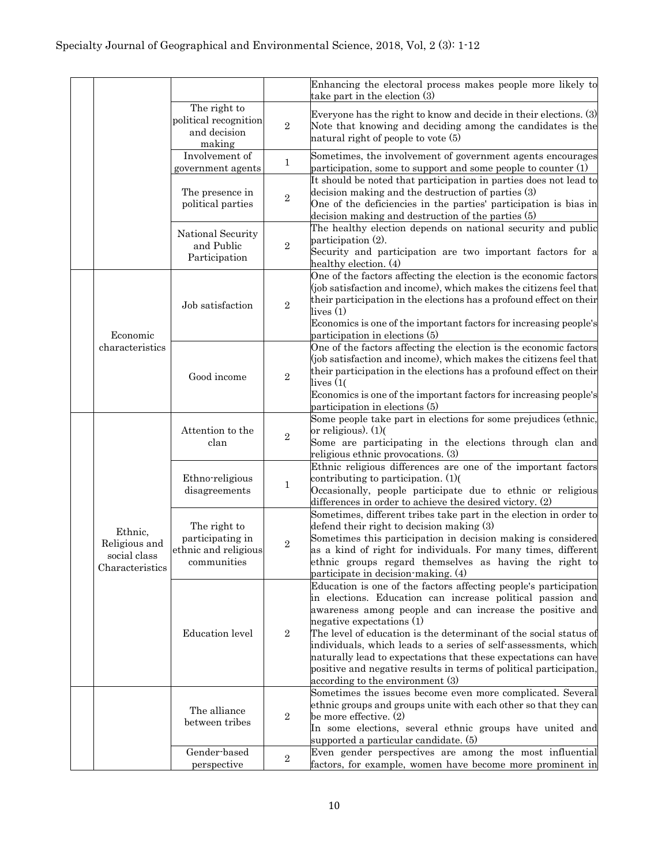|  |                                                             |                                                                         |                | Enhancing the electoral process makes people more likely to<br>take part in the election (3)                                                                                                                                                                                                                                                                                                                                                                                                                                                 |
|--|-------------------------------------------------------------|-------------------------------------------------------------------------|----------------|----------------------------------------------------------------------------------------------------------------------------------------------------------------------------------------------------------------------------------------------------------------------------------------------------------------------------------------------------------------------------------------------------------------------------------------------------------------------------------------------------------------------------------------------|
|  |                                                             | The right to<br>political recognition<br>and decision<br>making         | $\overline{2}$ | Everyone has the right to know and decide in their elections. (3)<br>Note that knowing and deciding among the candidates is the<br>natural right of people to vote (5)                                                                                                                                                                                                                                                                                                                                                                       |
|  |                                                             | Involvement of<br>government agents                                     | $\mathbf{1}$   | Sometimes, the involvement of government agents encourages<br>participation, some to support and some people to counter $(1)$                                                                                                                                                                                                                                                                                                                                                                                                                |
|  |                                                             | The presence in<br>political parties                                    | $\overline{2}$ | It should be noted that participation in parties does not lead to<br>decision making and the destruction of parties (3)<br>One of the deficiencies in the parties' participation is bias in<br>decision making and destruction of the parties (5)                                                                                                                                                                                                                                                                                            |
|  |                                                             | National Security<br>and Public<br>Participation                        | $\overline{2}$ | The healthy election depends on national security and public<br>participation (2).<br>Security and participation are two important factors for a<br>healthy election. (4)                                                                                                                                                                                                                                                                                                                                                                    |
|  | Economic<br>characteristics                                 | Job satisfaction                                                        | $\overline{2}$ | One of the factors affecting the election is the economic factors<br>(job satisfaction and income), which makes the citizens feel that<br>their participation in the elections has a profound effect on their<br>lives(1)<br>Economics is one of the important factors for increasing people's<br>participation in elections (5)                                                                                                                                                                                                             |
|  |                                                             | Good income                                                             | $\overline{2}$ | One of the factors affecting the election is the economic factors<br>(job satisfaction and income), which makes the citizens feel that<br>their participation in the elections has a profound effect on their<br>lives (1(<br>Economics is one of the important factors for increasing people's<br>participation in elections (5)                                                                                                                                                                                                            |
|  | Ethnic,<br>Religious and<br>social class<br>Characteristics | Attention to the<br>clan                                                | $\overline{2}$ | Some people take part in elections for some prejudices (ethnic,<br>or religious). (1)<br>Some are participating in the elections through clan and<br>religious ethnic provocations. (3)                                                                                                                                                                                                                                                                                                                                                      |
|  |                                                             | Ethno-religious<br>disagreements                                        | $\mathbf{1}$   | Ethnic religious differences are one of the important factors<br>contributing to participation. (1)<br>Occasionally, people participate due to ethnic or religious<br>differences in order to achieve the desired victory. (2)                                                                                                                                                                                                                                                                                                               |
|  |                                                             | The right to<br>participating in<br>ethnic and religious<br>communities | $\overline{2}$ | Sometimes, different tribes take part in the election in order to<br>defend their right to decision making (3)<br>Sometimes this participation in decision making is considered<br>as a kind of right for individuals. For many times, different<br>ethnic groups regard themselves as having the right to<br>participate in decision-making. (4)                                                                                                                                                                                            |
|  |                                                             | <b>Education</b> level                                                  | $\overline{2}$ | Education is one of the factors affecting people's participation<br>in elections. Education can increase political passion and<br>awareness among people and can increase the positive and<br>negative expectations (1)<br>The level of education is the determinant of the social status of<br>individuals, which leads to a series of self-assessments, which<br>naturally lead to expectations that these expectations can have<br>positive and negative results in terms of political participation,<br>according to the environment (3) |
|  |                                                             | The alliance<br>between tribes                                          | $\overline{2}$ | Sometimes the issues become even more complicated. Several<br>ethnic groups and groups unite with each other so that they can<br>be more effective. (2)<br>In some elections, several ethnic groups have united and<br>supported a particular candidate. (5)                                                                                                                                                                                                                                                                                 |
|  |                                                             | Gender-based<br>perspective                                             | $\,2$          | Even gender perspectives are among the most influential<br>factors, for example, women have become more prominent in                                                                                                                                                                                                                                                                                                                                                                                                                         |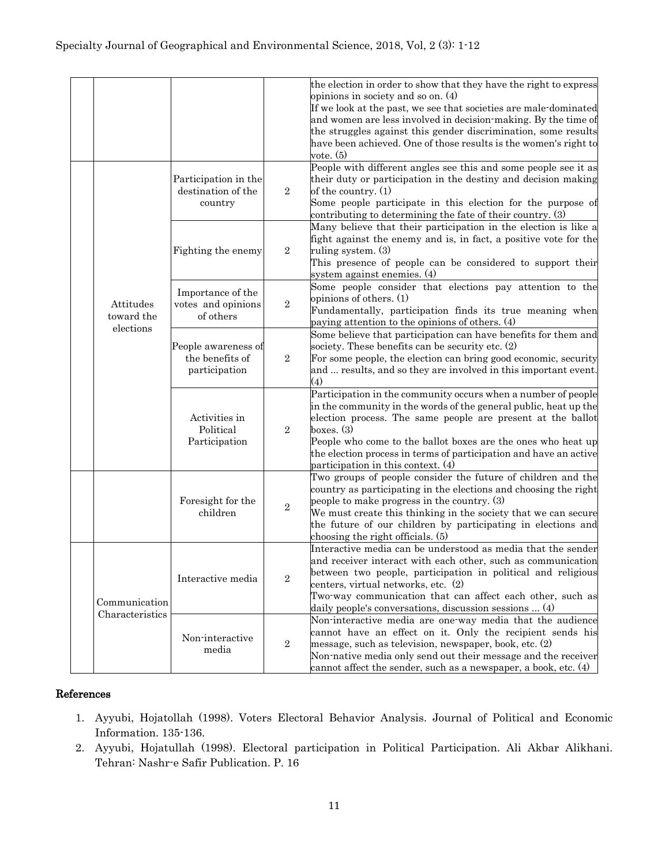|  |                                      |                                                         |                  | the election in order to show that they have the right to express<br>opinions in society and so on. (4)<br>If we look at the past, we see that societies are male-dominated<br>and women are less involved in decision-making. By the time of<br>the struggles against this gender discrimination, some results<br>have been achieved. One of those results is the women's right to<br>vote. (5) |
|--|--------------------------------------|---------------------------------------------------------|------------------|--------------------------------------------------------------------------------------------------------------------------------------------------------------------------------------------------------------------------------------------------------------------------------------------------------------------------------------------------------------------------------------------------|
|  | Attitudes<br>toward the<br>elections | Participation in the<br>destination of the<br>country   | $\overline{2}$   | People with different angles see this and some people see it as<br>their duty or participation in the destiny and decision making<br>of the country. (1)<br>Some people participate in this election for the purpose of<br>contributing to determining the fate of their country. (3)                                                                                                            |
|  |                                      | Fighting the enemy                                      | $\overline{2}$   | Many believe that their participation in the election is like a<br>fight against the enemy and is, in fact, a positive vote for the<br>ruling system. (3)<br>This presence of people can be considered to support their<br>system against enemies. (4)                                                                                                                                           |
|  |                                      | Importance of the<br>votes and opinions<br>of others    | $\overline{2}$   | Some people consider that elections pay attention to the<br>opinions of others. (1)<br>Fundamentally, participation finds its true meaning when<br>paying attention to the opinions of others. (4)                                                                                                                                                                                               |
|  |                                      | People awareness of<br>the benefits of<br>participation | $\boldsymbol{2}$ | Some believe that participation can have benefits for them and<br>society. These benefits can be security etc. (2)<br>For some people, the election can bring good economic, security<br>and  results, and so they are involved in this important event.<br>(4)                                                                                                                                  |
|  |                                      | Activities in<br>Political<br>Participation             | $\overline{2}$   | Participation in the community occurs when a number of people<br>in the community in the words of the general public, heat up the<br>election process. The same people are present at the ballot<br>boxes. $(3)$<br>People who come to the ballot boxes are the ones who heat up<br>the election process in terms of participation and have an active<br>participation in this context. (4)      |
|  |                                      | Foresight for the<br>children                           | $\boldsymbol{2}$ | Two groups of people consider the future of children and the<br>country as participating in the elections and choosing the right<br>people to make progress in the country. (3)<br>We must create this thinking in the society that we can secure<br>the future of our children by participating in elections and<br>choosing the right officials. (5)                                           |
|  | Communication<br>Characteristics     | Interactive media                                       | $\boldsymbol{2}$ | Interactive media can be understood as media that the sender<br>and receiver interact with each other, such as communication<br>between two people, participation in political and religious<br>centers, virtual networks, etc. (2)<br>Two way communication that can affect each other, such as<br>daily people's conversations, discussion sessions  (4)                                       |
|  |                                      | Non-interactive<br>media                                | $\overline{2}$   | Non-interactive media are one-way media that the audience<br>cannot have an effect on it. Only the recipient sends his<br>message, such as television, newspaper, book, etc. $(2)$<br>Non-native media only send out their message and the receiver<br>cannot affect the sender, such as a newspaper, a book, etc. (4)                                                                           |

#### References

- 1. Ayyubi, Hojatollah (1998). Voters Electoral Behavior Analysis. Journal of Political and Economic Information. 135-136.
- 2. Ayyubi, Hojatullah (1998). Electoral participation in Political Participation. Ali Akbar Alikhani. Tehran: Nashr-e Safir Publication. P. 16